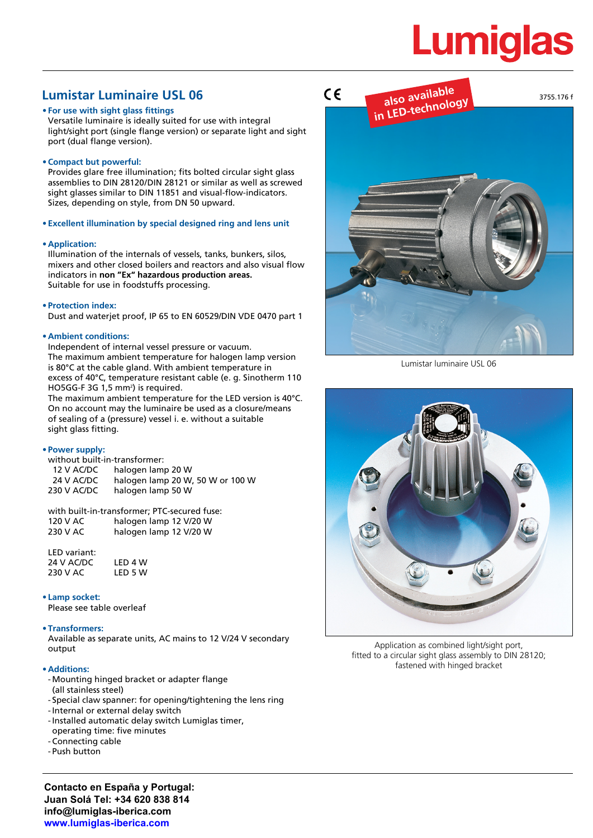# **Lumiglas**

# **Lumistar Luminaire USL 06**

#### **• For use with sight glass fittings**

Versatile luminaire is ideally suited for use with integral light/sight port (single flange version) or separate light and sight port (dual flange version).

**• Compact but powerful:**

Provides glare free illumination; fits bolted circular sight glass assemblies to DIN 28120/DIN 28121 or similar as well as screwed sight glasses similar to DIN 11851 and visual-flow-indicators. Sizes, depending on style, from DN 50 upward.

**• Excellent illumination by special designed ring and lens unit**

#### **• Application:**

Illumination of the internals of vessels, tanks, bunkers, silos, mixers and other closed boilers and reactors and also visual flow indicators in **non "Ex" hazardous production areas.** Suitable for use in foodstuffs processing.

#### **• Protection index:**

Dust and waterjet proof, IP 65 to EN 60529/DIN VDE 0470 part 1

# **• Ambient conditions:**

Independent of internal vessel pressure or vacuum. The maximum ambient temperature for halogen lamp version is 80°C at the cable gland. With ambient temperature in excess of 40°C, temperature resistant cable (e. g. Sinotherm 110 HO5GG-F 3G 1,5 mm<sup>2</sup>) is required.

The maximum ambient temperature for the LED version is 40°C. On no account may the luminaire be used as a closure/means of sealing of a (pressure) vessel i. e. without a suitable sight glass fitting.

#### **• Power supply:**

| without built-in-transformer: |                                  |  |  |  |  |  |  |
|-------------------------------|----------------------------------|--|--|--|--|--|--|
| 12 V AC/DC                    | halogen lamp 20 W                |  |  |  |  |  |  |
| 24 V AC/DC                    | halogen lamp 20 W, 50 W or 100 W |  |  |  |  |  |  |
| 230 V AC/DC                   | halogen lamp 50 W                |  |  |  |  |  |  |
|                               |                                  |  |  |  |  |  |  |

with built-in-transformer; PTC-secured fuse: 120 V AC halogen lamp 12 V/20 W halogen lamp 12 V/20 W

LED variant: 24 V AC/DC LED 4 W<br>230 V AC LED 5 W 230 V AC

# **• Lamp socket:**

Please see table overleaf

# **• Transformers:**

Available as separate units, AC mains to 12 V/24 V secondary output

#### **• Additions:**

- Mounting hinged bracket or adapter flange (all stainless steel)
- Special claw spanner: for opening/tightening the lens ring
- -Internal or external delay switch
- -Installed automatic delay switch Lumiglas timer,
- operating time: five minutes
- Connecting cable
- Push button

**Contacto en España y Portugal: Juan Solá Tel: +34 620 838 814 info@lumiglas-iberica.com www.lumiglas-iberica.com**



Lumistar luminaire USL 06



Application as combined light/sight port, fitted to a circular sight glass assembly to DIN 28120; fastened with hinged bracket